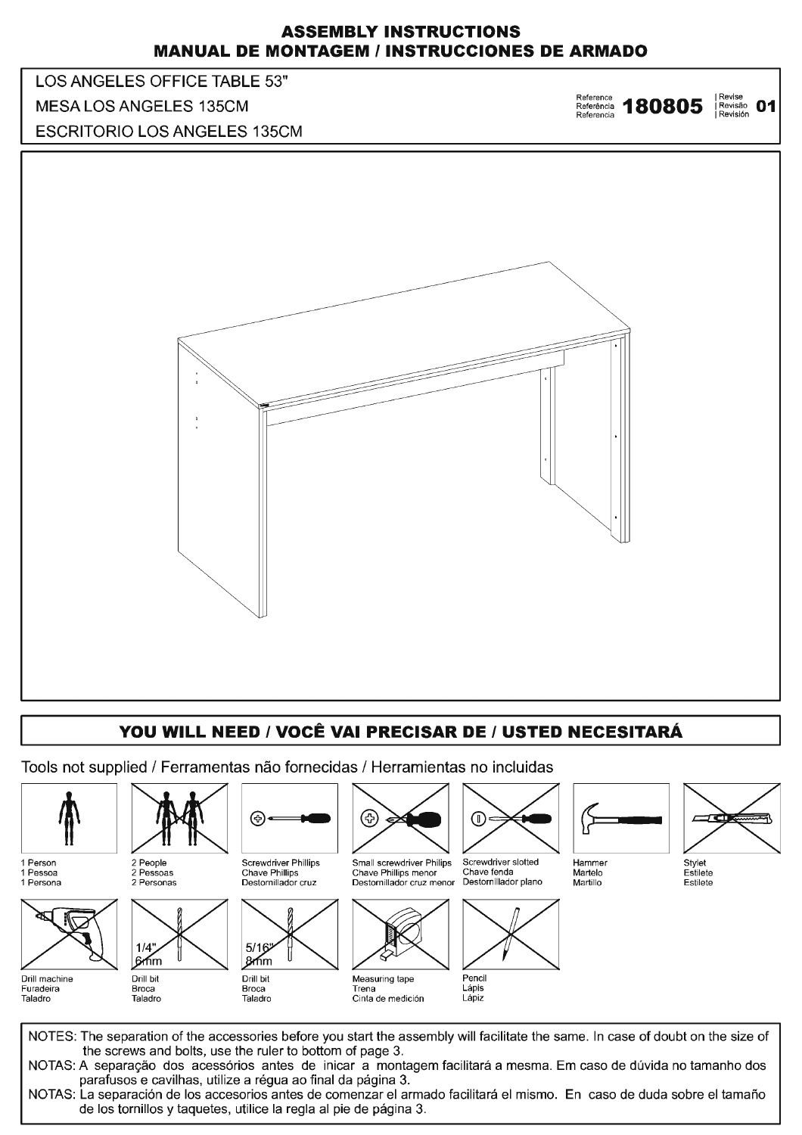## **ASSEMBLY INSTRUCTIONS MANUAL DE MONTAGEM / INSTRUCCIONES DE ARMADO**



## YOU WILL NEED / VOCÊ VAI PRECISAR DE / USTED NECESITARÁ

Tools not supplied / Ferramentas não fornecidas / Herramientas no incluidas



NOTAS: La separación de los accesorios antes de comenzar el armado facilitará el mismo. En caso de duda sobre el tamaño de los tornillos y taquetes, utilice la regla al pie de página 3.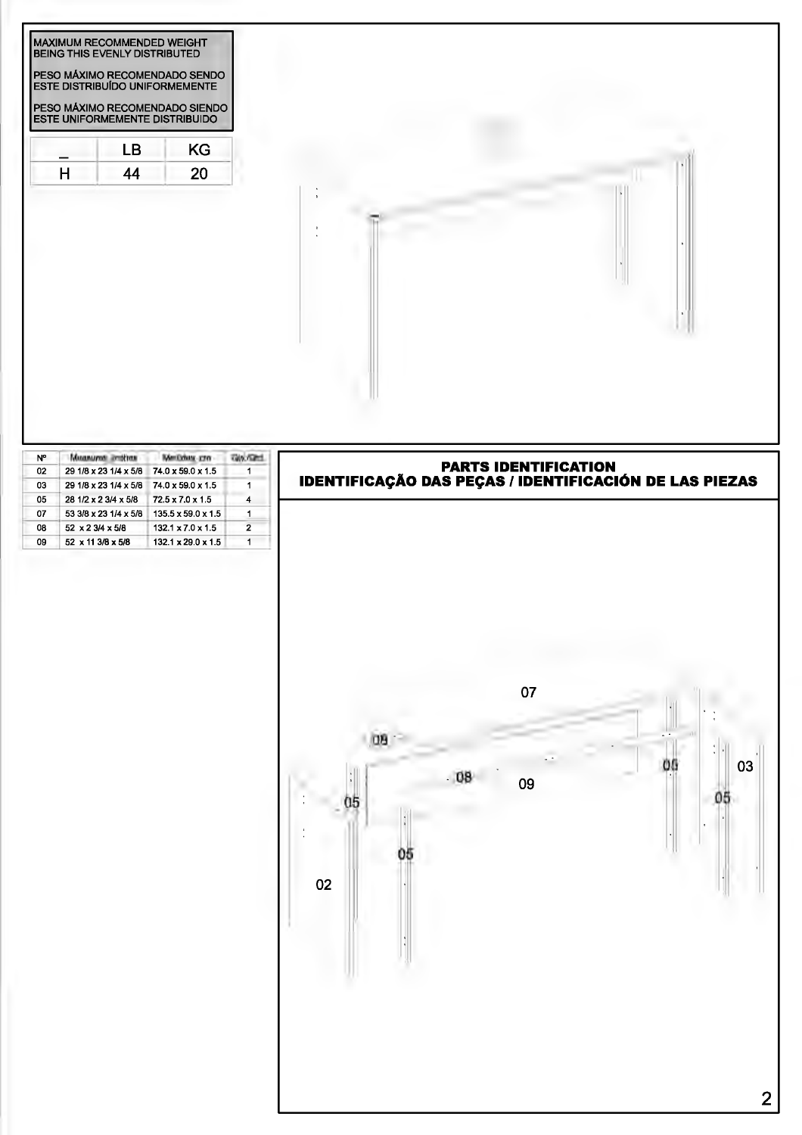| MAXIMUM RECOMMENDED WEIGHT<br><b>BEING THIS EVENLY DISTRIBUTED</b><br>PESO MÁXIMO RECOMENDADO SENDO<br>ESTE DISTRIBUÍDO UNIFORMEMENTE<br>PESO MÁXIMO RECOMENDADO SIENDO<br><b>ESTE UNIFORMEMENTE DISTRIBUIDO</b> |          |           |  |
|------------------------------------------------------------------------------------------------------------------------------------------------------------------------------------------------------------------|----------|-----------|--|
| LB.<br>H<br>44                                                                                                                                                                                                   | KG<br>20 |           |  |
|                                                                                                                                                                                                                  |          | $\bullet$ |  |

| N° | Matanazoni: 2019 ras  | <b>DEL VIRGINIA</b>            |   |
|----|-----------------------|--------------------------------|---|
| 02 | 29 1/8 x 23 1/4 x 5/8 | 74.0 x 59.0 x 1.5              |   |
| 03 | 29 1/8 x 23 1/4 x 5/8 | 74.0 x 59.0 x 1.5              |   |
| 05 | 28 1/2 x 2 3/4 x 5/8  | $72.5 \times 7.0 \times 1.5$   |   |
| 07 | 53 3/8 x 23 1/4 x 5/8 | $135.5 \times 59.0 \times 1.5$ |   |
| 08 | 52 x 2 3/4 x 5/8      | $132.1 \times 7.0 \times 1.5$  | 2 |
| 09 | 52 x 11 3/8 x 5/8     | $132.1 \times 29.0 \times 1.5$ |   |

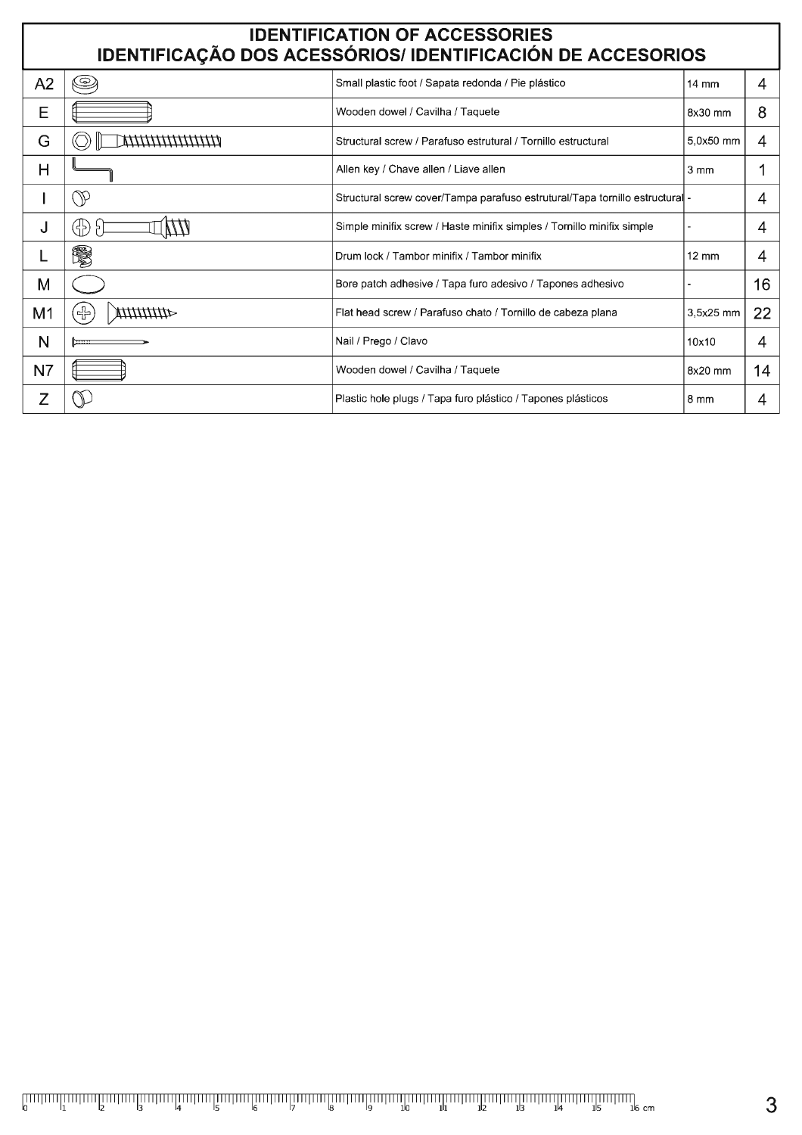| <b>IDENTIFICATION OF ACCESSORIES</b><br>IDENTIFICAÇÃO DOS ACESSÓRIOS/ IDENTIFICACIÓN DE ACCESORIOS |                               |                                                                            |                  |    |  |  |  |  |
|----------------------------------------------------------------------------------------------------|-------------------------------|----------------------------------------------------------------------------|------------------|----|--|--|--|--|
| A2                                                                                                 | O                             | Small plastic foot / Sapata redonda / Pie plástico                         | $14 \text{ mm}$  | 4  |  |  |  |  |
| E                                                                                                  |                               | Wooden dowel / Cavilha / Taquete                                           | 8x30 mm          | 8  |  |  |  |  |
| G                                                                                                  | ***************************** | Structural screw / Parafuso estrutural / Tornillo estructural              | 5,0x50 mm        | 4  |  |  |  |  |
| н                                                                                                  |                               | Allen key / Chave allen / Liave allen                                      | $3 \, \text{mm}$ |    |  |  |  |  |
|                                                                                                    | W                             | Structural screw cover/Tampa parafuso estrutural/Tapa tornillo estructural |                  | 4  |  |  |  |  |
| J                                                                                                  | (남)                           | Simple minifix screw / Haste minifix simples / Tornillo minifix simple     |                  | 4  |  |  |  |  |
|                                                                                                    | 鬻                             | Drum lock / Tambor minifix / Tambor minifix                                | $12 \text{ mm}$  | 4  |  |  |  |  |
| M                                                                                                  |                               | Bore patch adhesive / Tapa furo adesivo / Tapones adhesivo                 |                  | 16 |  |  |  |  |
| M <sub>1</sub>                                                                                     | $\pm$                         | Flat head screw / Parafuso chato / Tornillo de cabeza plana                | 3,5x25 mm        | 22 |  |  |  |  |
| N                                                                                                  |                               | Nail / Prego / Clavo                                                       | 10x10            | 4  |  |  |  |  |
| N <sub>7</sub>                                                                                     |                               | Wooden dowel / Cavilha / Taquete                                           | 8x20 mm          | 14 |  |  |  |  |
| Z                                                                                                  |                               | Plastic hole plugs / Tapa furo plástico / Tapones plásticos                | $8 \text{ mm}$   | 4  |  |  |  |  |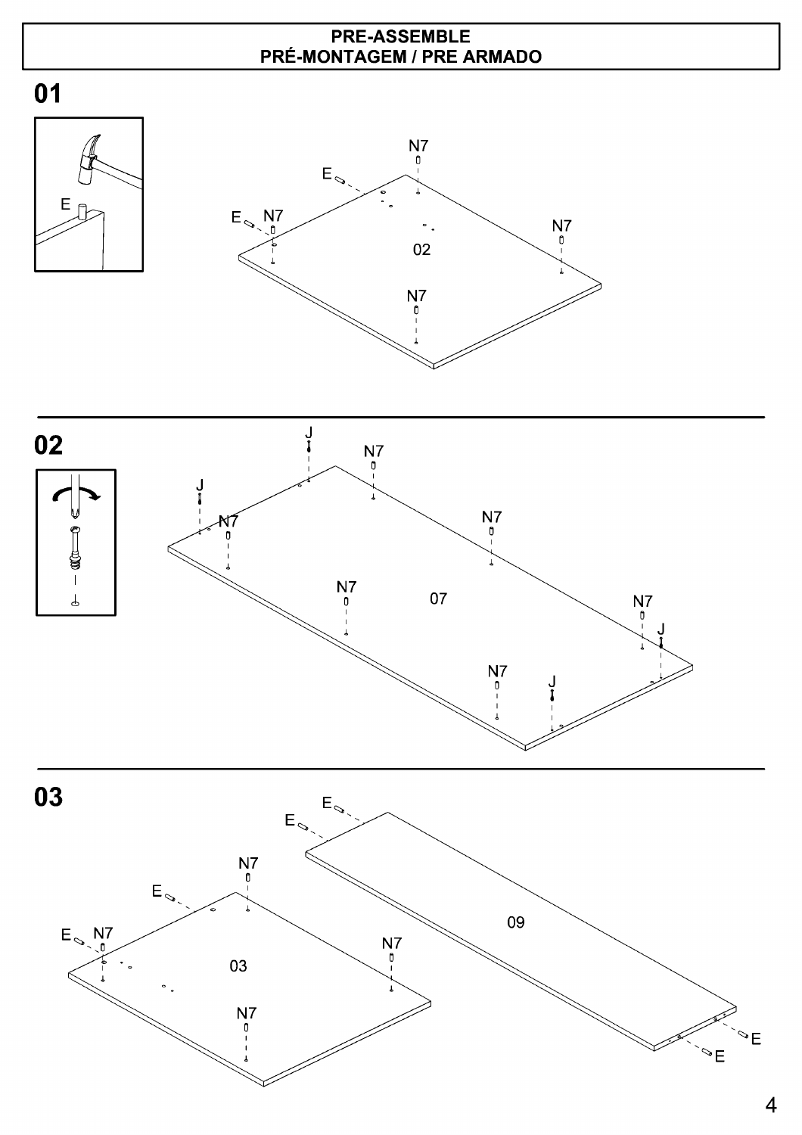## **PRE-ASSEMBLE PRÉ-MONTAGEM / PRE ARMADO**









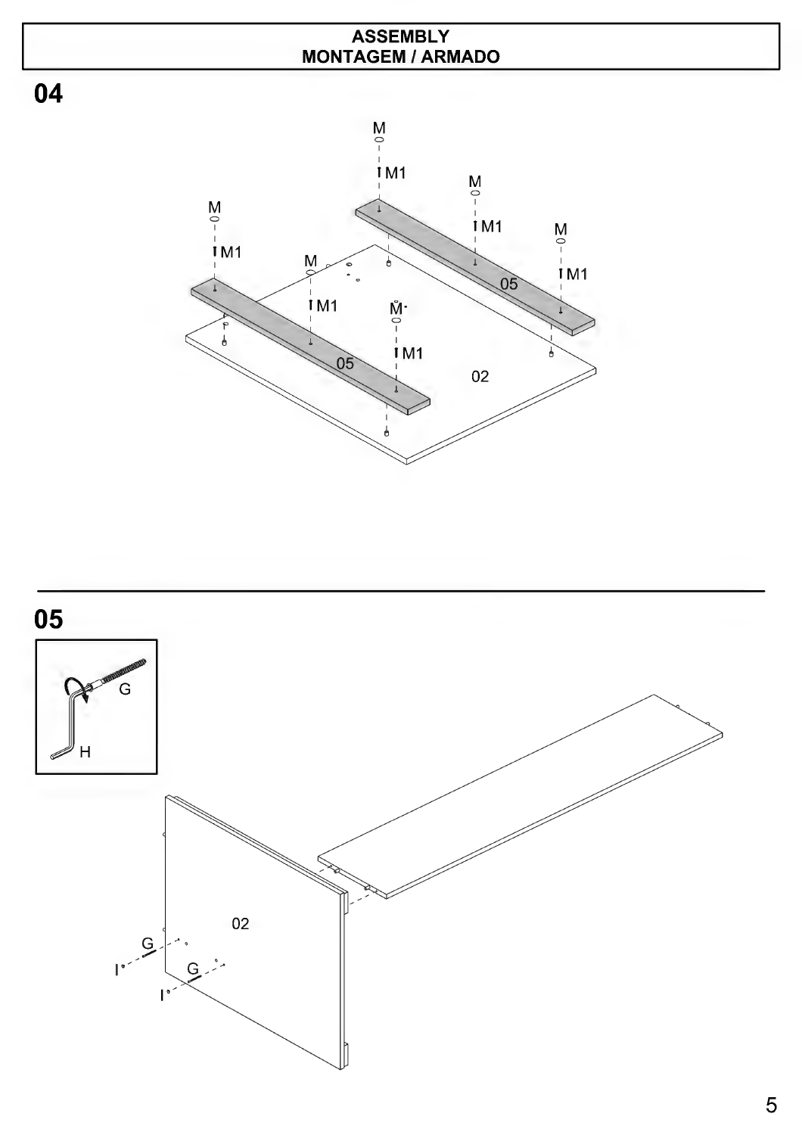## **ASSEMBLY MONTAGEM/ARMADO**

**04** 



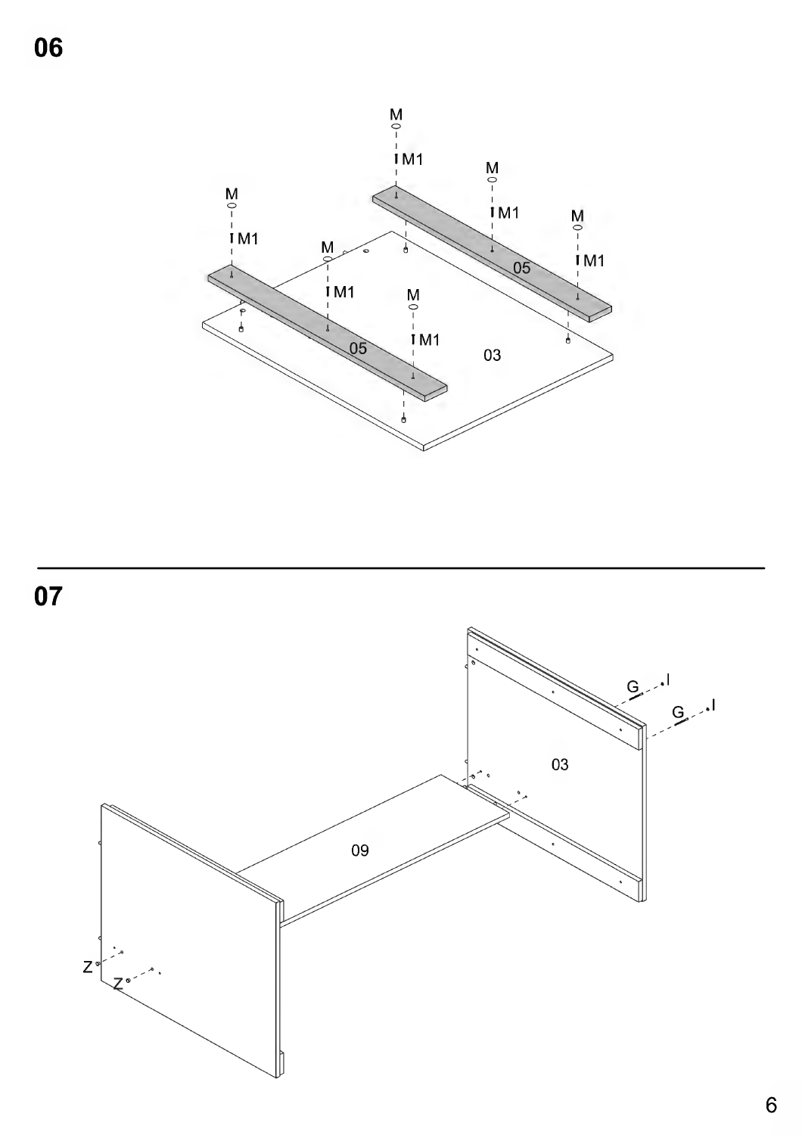06



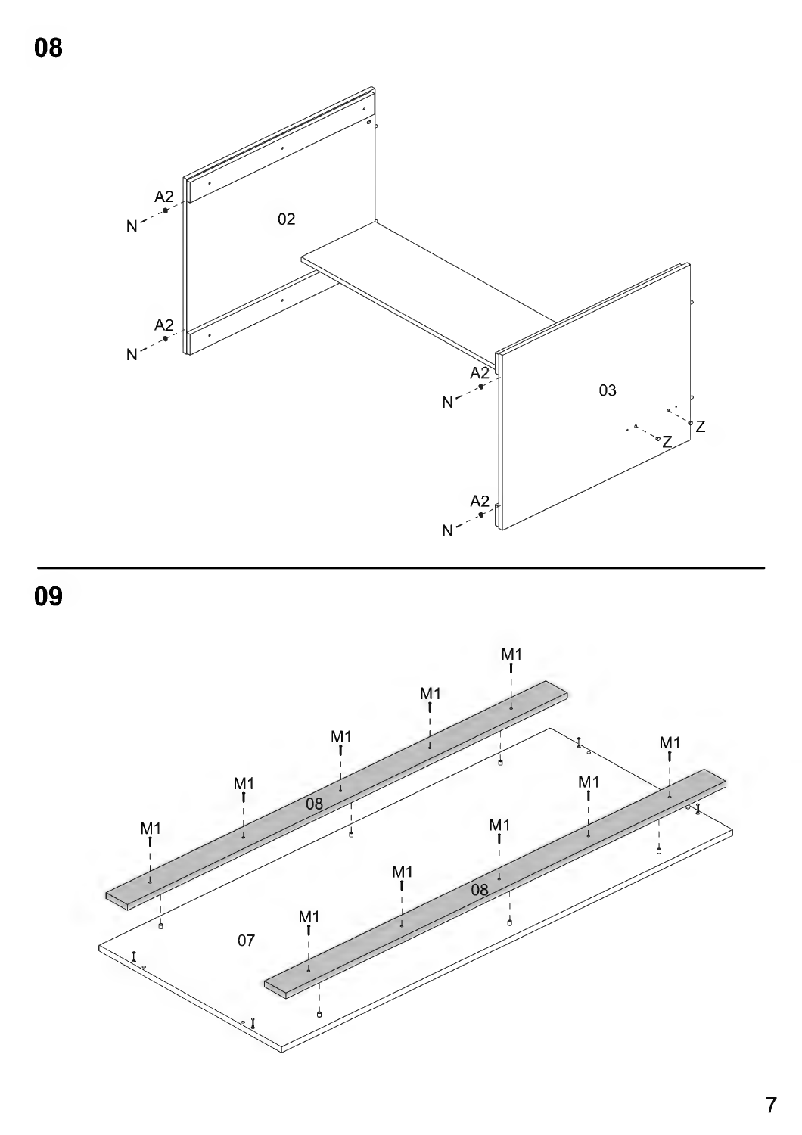





7

**08**